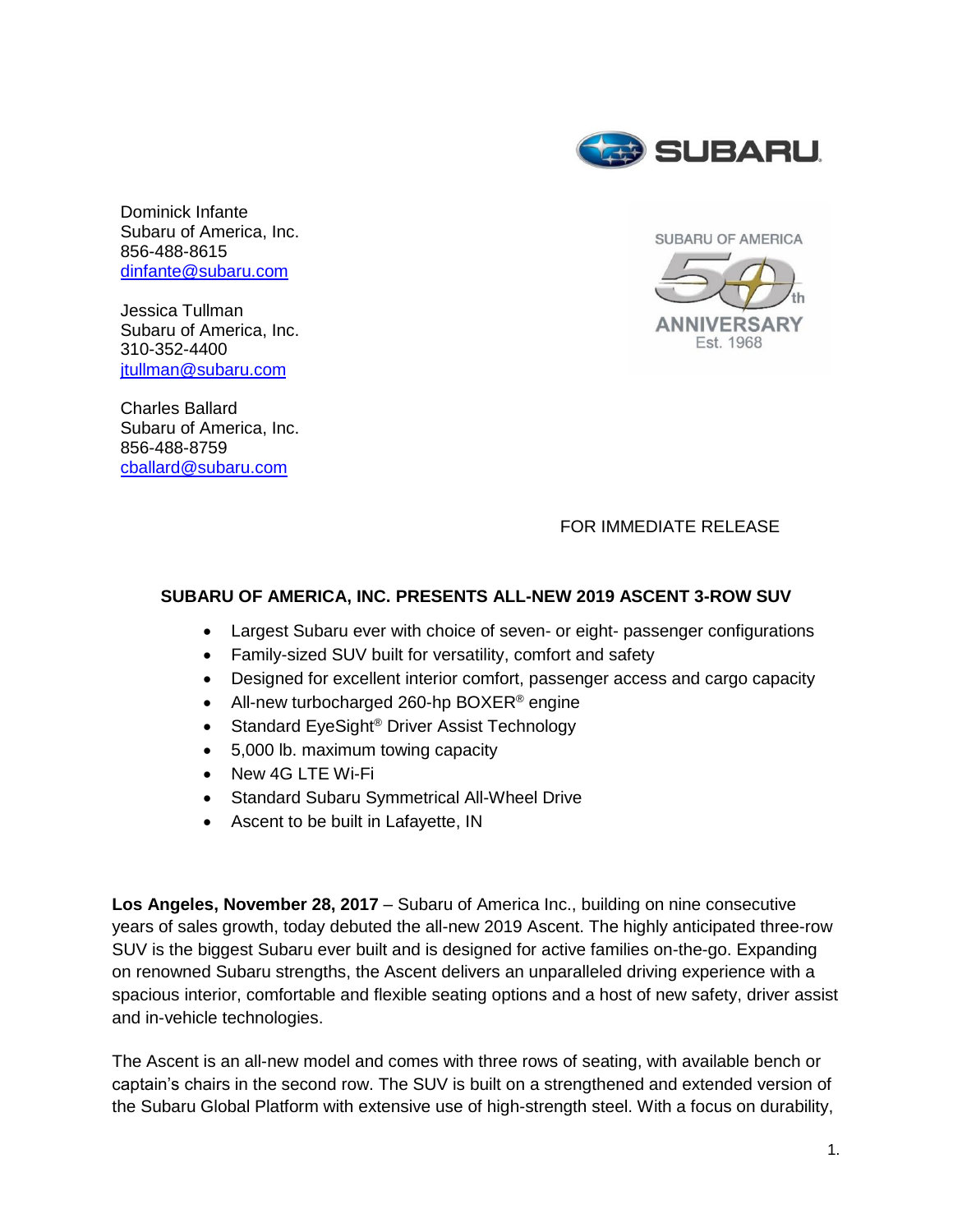

Dominick Infante Subaru of America, Inc. 856-488-8615 [dinfante@subaru.com](mailto:dinfante@subaru.com)

Jessica Tullman Subaru of America, Inc. 310-352-4400 [jtullman@subaru.com](mailto:jtullman@subaru.com)

Charles Ballard Subaru of America, Inc. 856-488-8759 [cballard@subaru.com](mailto:cballard@subaru.com)



FOR IMMEDIATE RELEASE

#### **SUBARU OF AMERICA, INC. PRESENTS ALL-NEW 2019 ASCENT 3-ROW SUV**

- Largest Subaru ever with choice of seven- or eight- passenger configurations
- Family-sized SUV built for versatility, comfort and safety
- Designed for excellent interior comfort, passenger access and cargo capacity
- All-new turbocharged 260-hp BOXER<sup>®</sup> engine
- Standard EyeSight<sup>®</sup> Driver Assist Technology
- 5,000 lb. maximum towing capacity
- New 4G LTE Wi-Fi
- Standard Subaru Symmetrical All-Wheel Drive
- Ascent to be built in Lafayette, IN

**Los Angeles, November 28, 2017** – Subaru of America Inc., building on nine consecutive years of sales growth, today debuted the all-new 2019 Ascent. The highly anticipated three-row SUV is the biggest Subaru ever built and is designed for active families on-the-go. Expanding on renowned Subaru strengths, the Ascent delivers an unparalleled driving experience with a spacious interior, comfortable and flexible seating options and a host of new safety, driver assist and in-vehicle technologies.

The Ascent is an all-new model and comes with three rows of seating, with available bench or captain's chairs in the second row. The SUV is built on a strengthened and extended version of the Subaru Global Platform with extensive use of high-strength steel. With a focus on durability,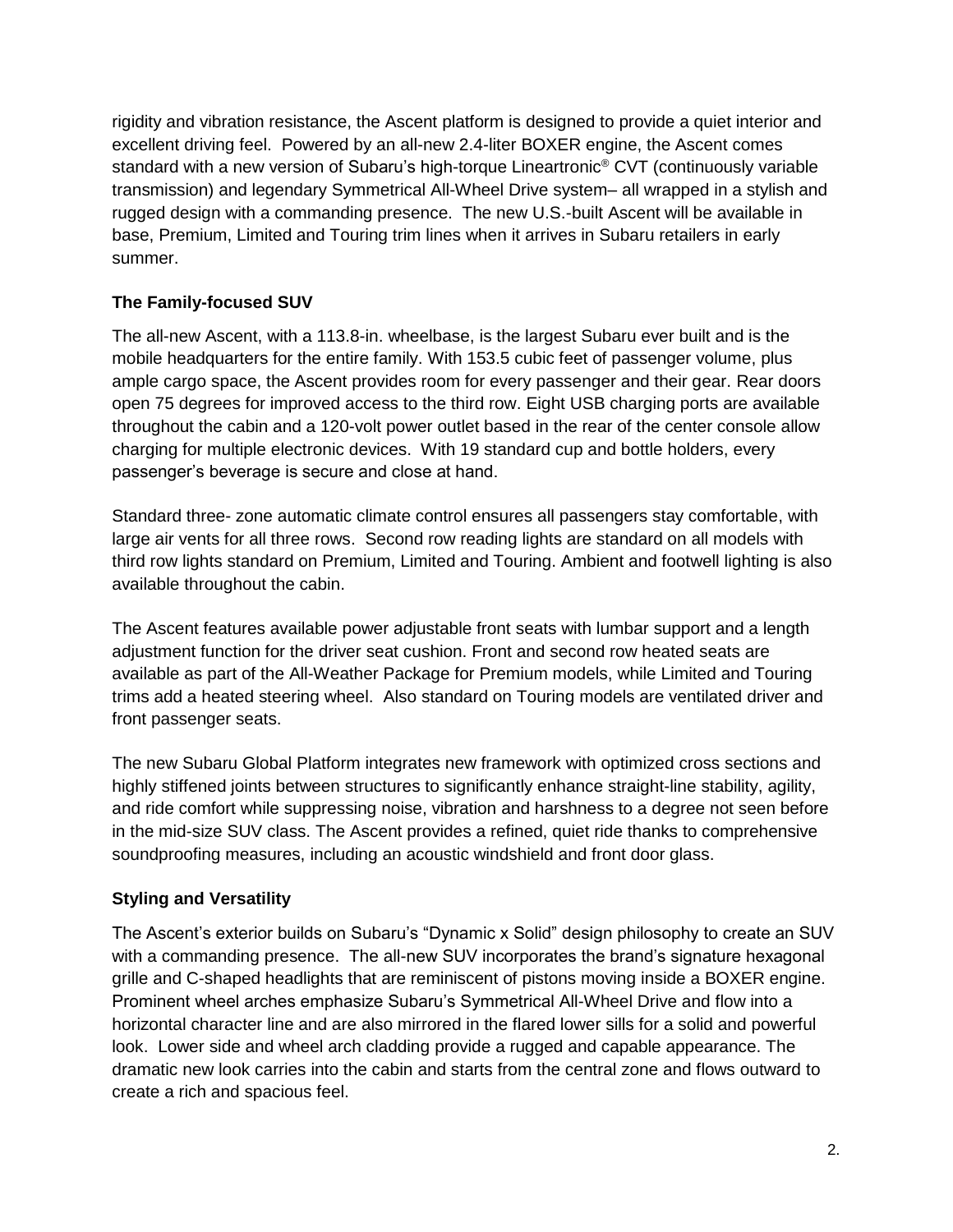rigidity and vibration resistance, the Ascent platform is designed to provide a quiet interior and excellent driving feel. Powered by an all-new 2.4-liter BOXER engine, the Ascent comes standard with a new version of Subaru's high-torque Lineartronic® CVT (continuously variable transmission) and legendary Symmetrical All-Wheel Drive system– all wrapped in a stylish and rugged design with a commanding presence. The new U.S.-built Ascent will be available in base, Premium, Limited and Touring trim lines when it arrives in Subaru retailers in early summer.

# **The Family-focused SUV**

The all-new Ascent, with a 113.8-in. wheelbase, is the largest Subaru ever built and is the mobile headquarters for the entire family. With 153.5 cubic feet of passenger volume, plus ample cargo space, the Ascent provides room for every passenger and their gear. Rear doors open 75 degrees for improved access to the third row. Eight USB charging ports are available throughout the cabin and a 120-volt power outlet based in the rear of the center console allow charging for multiple electronic devices. With 19 standard cup and bottle holders, every passenger's beverage is secure and close at hand.

Standard three- zone automatic climate control ensures all passengers stay comfortable, with large air vents for all three rows. Second row reading lights are standard on all models with third row lights standard on Premium, Limited and Touring. Ambient and footwell lighting is also available throughout the cabin.

The Ascent features available power adjustable front seats with lumbar support and a length adjustment function for the driver seat cushion. Front and second row heated seats are available as part of the All-Weather Package for Premium models, while Limited and Touring trims add a heated steering wheel. Also standard on Touring models are ventilated driver and front passenger seats.

The new Subaru Global Platform integrates new framework with optimized cross sections and highly stiffened joints between structures to significantly enhance straight-line stability, agility, and ride comfort while suppressing noise, vibration and harshness to a degree not seen before in the mid-size SUV class. The Ascent provides a refined, quiet ride thanks to comprehensive soundproofing measures, including an acoustic windshield and front door glass.

# **Styling and Versatility**

The Ascent's exterior builds on Subaru's "Dynamic x Solid" design philosophy to create an SUV with a commanding presence. The all-new SUV incorporates the brand's signature hexagonal grille and C-shaped headlights that are reminiscent of pistons moving inside a BOXER engine. Prominent wheel arches emphasize Subaru's Symmetrical All-Wheel Drive and flow into a horizontal character line and are also mirrored in the flared lower sills for a solid and powerful look. Lower side and wheel arch cladding provide a rugged and capable appearance. The dramatic new look carries into the cabin and starts from the central zone and flows outward to create a rich and spacious feel.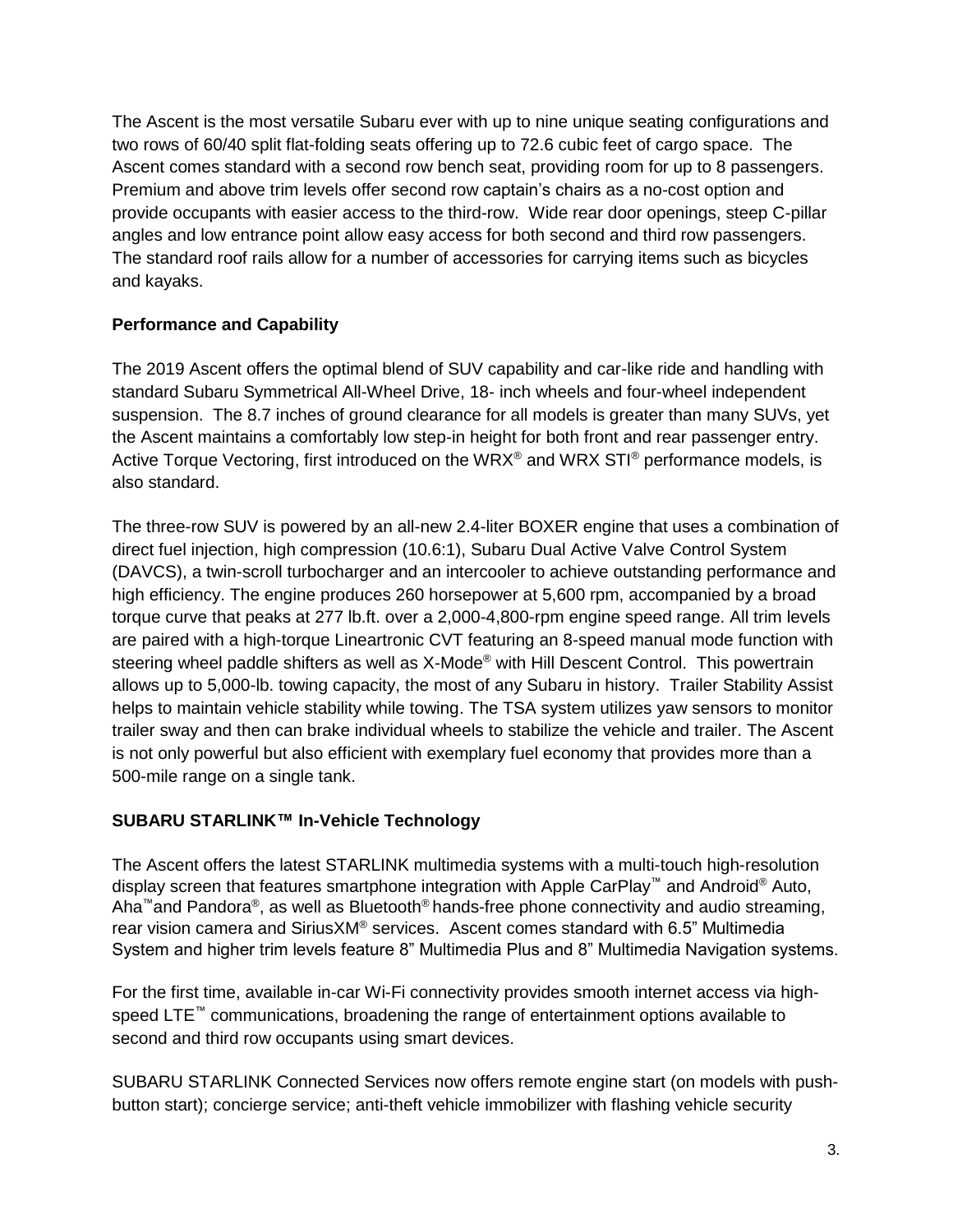The Ascent is the most versatile Subaru ever with up to nine unique seating configurations and two rows of 60/40 split flat-folding seats offering up to 72.6 cubic feet of cargo space. The Ascent comes standard with a second row bench seat, providing room for up to 8 passengers. Premium and above trim levels offer second row captain's chairs as a no-cost option and provide occupants with easier access to the third-row. Wide rear door openings, steep C-pillar angles and low entrance point allow easy access for both second and third row passengers. The standard roof rails allow for a number of accessories for carrying items such as bicycles and kayaks.

## **Performance and Capability**

The 2019 Ascent offers the optimal blend of SUV capability and car-like ride and handling with standard Subaru Symmetrical All-Wheel Drive, 18- inch wheels and four-wheel independent suspension. The 8.7 inches of ground clearance for all models is greater than many SUVs, yet the Ascent maintains a comfortably low step-in height for both front and rear passenger entry. Active Torque Vectoring, first introduced on the WRX<sup>®</sup> and WRX STI<sup>®</sup> performance models, is also standard.

The three-row SUV is powered by an all-new 2.4-liter BOXER engine that uses a combination of direct fuel injection, high compression (10.6:1), Subaru Dual Active Valve Control System (DAVCS), a twin-scroll turbocharger and an intercooler to achieve outstanding performance and high efficiency. The engine produces 260 horsepower at 5,600 rpm, accompanied by a broad torque curve that peaks at 277 lb.ft. over a 2,000-4,800-rpm engine speed range. All trim levels are paired with a high-torque Lineartronic CVT featuring an 8-speed manual mode function with steering wheel paddle shifters as well as X-Mode® with Hill Descent Control. This powertrain allows up to 5,000-lb. towing capacity, the most of any Subaru in history. Trailer Stability Assist helps to maintain vehicle stability while towing. The TSA system utilizes yaw sensors to monitor trailer sway and then can brake individual wheels to stabilize the vehicle and trailer. The Ascent is not only powerful but also efficient with exemplary fuel economy that provides more than a 500-mile range on a single tank.

### **SUBARU STARLINK™ In-Vehicle Technology**

The Ascent offers the latest STARLINK multimedia systems with a multi-touch high-resolution display screen that features smartphone integration with Apple CarPlay™ and Android® Auto, Aha™and Pandora®, as well as Bluetooth® hands-free phone connectivity and audio streaming, rear vision camera and SiriusXM® services. Ascent comes standard with 6.5" Multimedia System and higher trim levels feature 8" Multimedia Plus and 8" Multimedia Navigation systems.

For the first time, available in-car Wi-Fi connectivity provides smooth internet access via highspeed LTE™ communications, broadening the range of entertainment options available to second and third row occupants using smart devices.

SUBARU STARLINK Connected Services now offers remote engine start (on models with pushbutton start); concierge service; anti-theft vehicle immobilizer with flashing vehicle security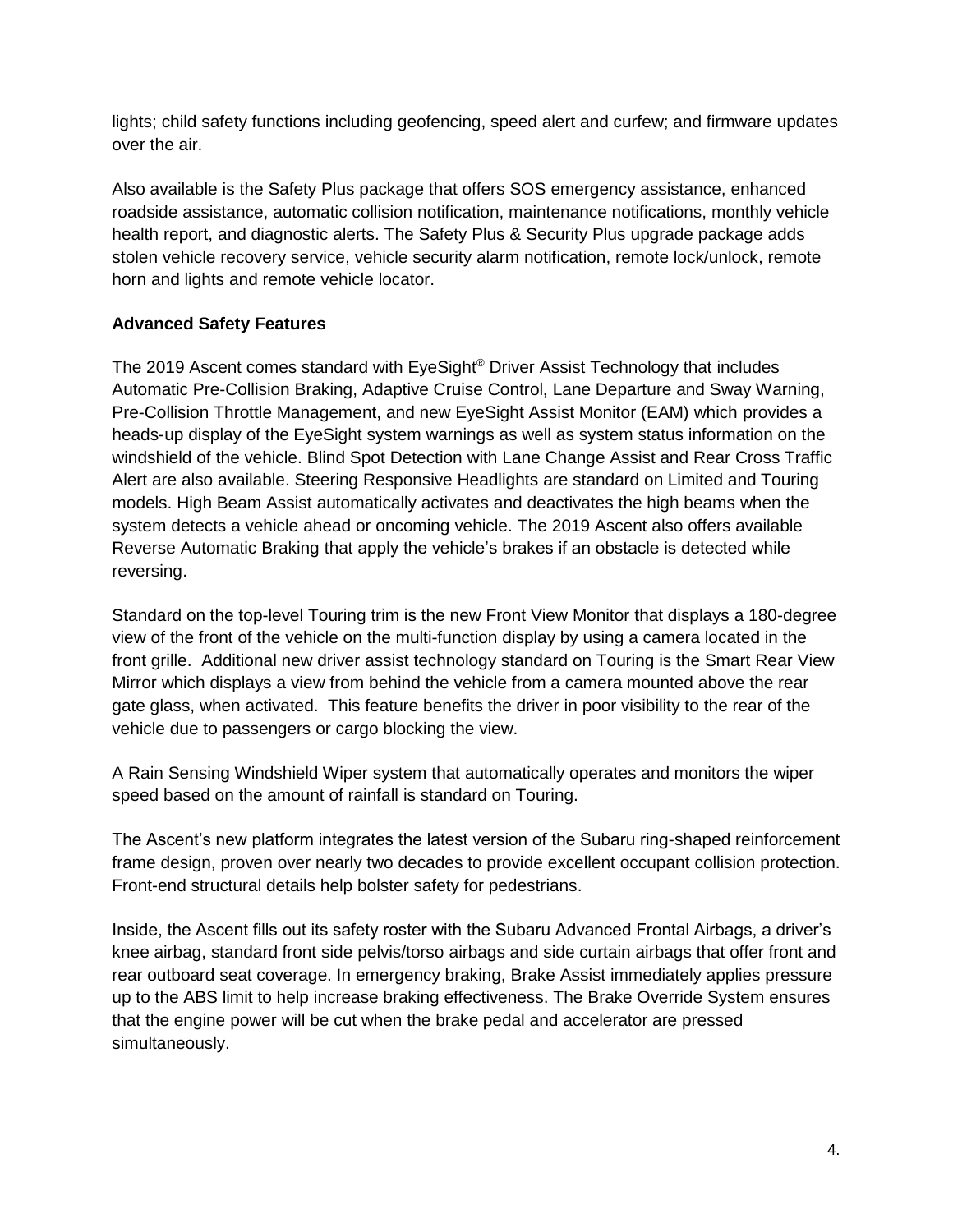lights; child safety functions including geofencing, speed alert and curfew; and firmware updates over the air.

Also available is the Safety Plus package that offers SOS emergency assistance, enhanced roadside assistance, automatic collision notification, maintenance notifications, monthly vehicle health report, and diagnostic alerts. The Safety Plus & Security Plus upgrade package adds stolen vehicle recovery service, vehicle security alarm notification, remote lock/unlock, remote horn and lights and remote vehicle locator.

### **Advanced Safety Features**

The 2019 Ascent comes standard with EyeSight® Driver Assist Technology that includes Automatic Pre-Collision Braking, Adaptive Cruise Control, Lane Departure and Sway Warning, Pre-Collision Throttle Management, and new EyeSight Assist Monitor (EAM) which provides a heads-up display of the EyeSight system warnings as well as system status information on the windshield of the vehicle. Blind Spot Detection with Lane Change Assist and Rear Cross Traffic Alert are also available. Steering Responsive Headlights are standard on Limited and Touring models. High Beam Assist automatically activates and deactivates the high beams when the system detects a vehicle ahead or oncoming vehicle. The 2019 Ascent also offers available Reverse Automatic Braking that apply the vehicle's brakes if an obstacle is detected while reversing.

Standard on the top-level Touring trim is the new Front View Monitor that displays a 180-degree view of the front of the vehicle on the multi-function display by using a camera located in the front grille. Additional new driver assist technology standard on Touring is the Smart Rear View Mirror which displays a view from behind the vehicle from a camera mounted above the rear gate glass, when activated. This feature benefits the driver in poor visibility to the rear of the vehicle due to passengers or cargo blocking the view.

A Rain Sensing Windshield Wiper system that automatically operates and monitors the wiper speed based on the amount of rainfall is standard on Touring.

The Ascent's new platform integrates the latest version of the Subaru ring-shaped reinforcement frame design, proven over nearly two decades to provide excellent occupant collision protection. Front-end structural details help bolster safety for pedestrians.

Inside, the Ascent fills out its safety roster with the Subaru Advanced Frontal Airbags, a driver's knee airbag, standard front side pelvis/torso airbags and side curtain airbags that offer front and rear outboard seat coverage. In emergency braking, Brake Assist immediately applies pressure up to the ABS limit to help increase braking effectiveness. The Brake Override System ensures that the engine power will be cut when the brake pedal and accelerator are pressed simultaneously.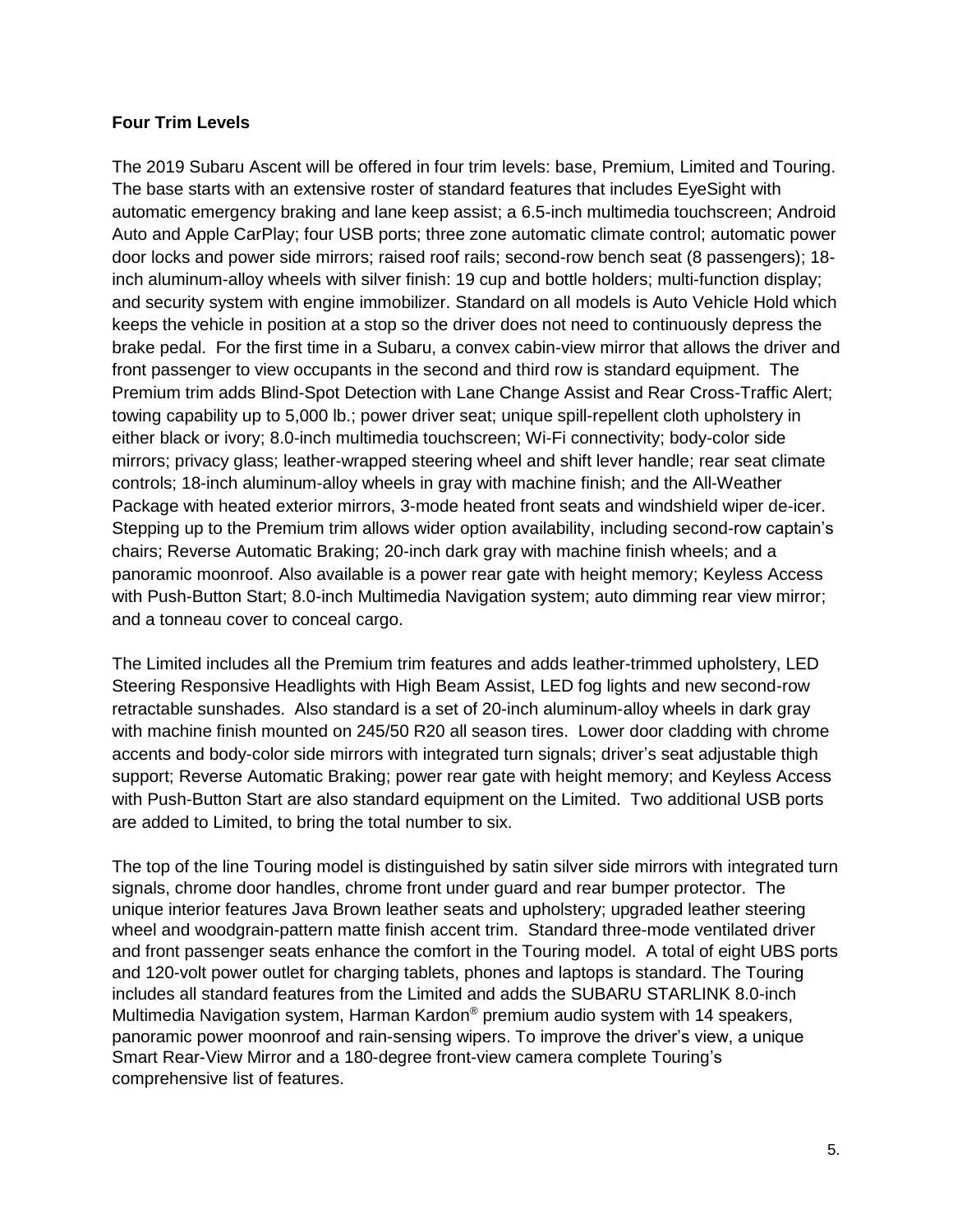#### **Four Trim Levels**

The 2019 Subaru Ascent will be offered in four trim levels: base, Premium, Limited and Touring. The base starts with an extensive roster of standard features that includes EyeSight with automatic emergency braking and lane keep assist; a 6.5-inch multimedia touchscreen; Android Auto and Apple CarPlay; four USB ports; three zone automatic climate control; automatic power door locks and power side mirrors; raised roof rails; second-row bench seat (8 passengers); 18 inch aluminum-alloy wheels with silver finish: 19 cup and bottle holders; multi-function display; and security system with engine immobilizer. Standard on all models is Auto Vehicle Hold which keeps the vehicle in position at a stop so the driver does not need to continuously depress the brake pedal. For the first time in a Subaru, a convex cabin-view mirror that allows the driver and front passenger to view occupants in the second and third row is standard equipment. The Premium trim adds Blind-Spot Detection with Lane Change Assist and Rear Cross-Traffic Alert; towing capability up to 5,000 lb.; power driver seat; unique spill-repellent cloth upholstery in either black or ivory; 8.0-inch multimedia touchscreen; Wi-Fi connectivity; body-color side mirrors; privacy glass; leather-wrapped steering wheel and shift lever handle; rear seat climate controls; 18-inch aluminum-alloy wheels in gray with machine finish; and the All-Weather Package with heated exterior mirrors, 3-mode heated front seats and windshield wiper de-icer. Stepping up to the Premium trim allows wider option availability, including second-row captain's chairs; Reverse Automatic Braking; 20-inch dark gray with machine finish wheels; and a panoramic moonroof. Also available is a power rear gate with height memory; Keyless Access with Push-Button Start; 8.0-inch Multimedia Navigation system; auto dimming rear view mirror; and a tonneau cover to conceal cargo.

The Limited includes all the Premium trim features and adds leather-trimmed upholstery, LED Steering Responsive Headlights with High Beam Assist, LED fog lights and new second-row retractable sunshades. Also standard is a set of 20-inch aluminum-alloy wheels in dark gray with machine finish mounted on 245/50 R20 all season tires. Lower door cladding with chrome accents and body-color side mirrors with integrated turn signals; driver's seat adjustable thigh support; Reverse Automatic Braking; power rear gate with height memory; and Keyless Access with Push-Button Start are also standard equipment on the Limited. Two additional USB ports are added to Limited, to bring the total number to six.

The top of the line Touring model is distinguished by satin silver side mirrors with integrated turn signals, chrome door handles, chrome front under guard and rear bumper protector. The unique interior features Java Brown leather seats and upholstery; upgraded leather steering wheel and woodgrain-pattern matte finish accent trim. Standard three-mode ventilated driver and front passenger seats enhance the comfort in the Touring model. A total of eight UBS ports and 120-volt power outlet for charging tablets, phones and laptops is standard. The Touring includes all standard features from the Limited and adds the SUBARU STARLINK 8.0-inch Multimedia Navigation system, Harman Kardon® premium audio system with 14 speakers, panoramic power moonroof and rain-sensing wipers. To improve the driver's view, a unique Smart Rear-View Mirror and a 180-degree front-view camera complete Touring's comprehensive list of features.